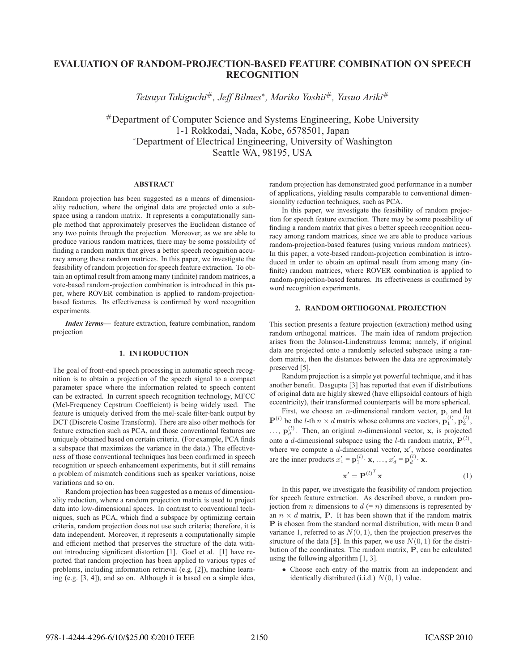# **EVALUATION OF RANDOM-PROJECTION-BASED FEATURE COMBINATION ON SPEECH RECOGNITION**

*Tetsuya Takiguchi*#*, Jeff Bilmes*∗*, Mariko Yoshii*#*, Yasuo Ariki*#

#Department of Computer Science and Systems Engineering, Kobe University 1-1 Rokkodai, Nada, Kobe, 6578501, Japan <sup>∗</sup>Department of Electrical Engineering, University of Washington Seattle WA, 98195, USA

## **ABSTRACT**

Random projection has been suggested as a means of dimensionality reduction, where the original data are projected onto a subspace using a random matrix. It represents a computationally simple method that approximately preserves the Euclidean distance of any two points through the projection. Moreover, as we are able to produce various random matrices, there may be some possibility of finding a random matrix that gives a better speech recognition accuracy among these random matrices. In this paper, we investigate the feasibility of random projection for speech feature extraction. To obtain an optimal result from among many (infinite) random matrices, a vote-based random-projection combination is introduced in this paper, where ROVER combination is applied to random-projectionbased features. Its effectiveness is confirmed by word recognition experiments.

*Index Terms***—** feature extraction, feature combination, random projection

#### **1. INTRODUCTION**

The goal of front-end speech processing in automatic speech recognition is to obtain a projection of the speech signal to a compact parameter space where the information related to speech content can be extracted. In current speech recognition technology, MFCC (Mel-Frequency Cepstrum Coefficient) is being widely used. The feature is uniquely derived from the mel-scale filter-bank output by DCT (Discrete Cosine Transform). There are also other methods for feature extraction such as PCA, and those conventional features are uniquely obtained based on certain criteria. (For example, PCA finds a subspace that maximizes the variance in the data.) The effectiveness of those conventional techniques has been confirmed in speech recognition or speech enhancement experiments, but it still remains a problem of mismatch conditions such as speaker variations, noise variations and so on.

Random projection has been suggested as a means of dimensionality reduction, where a random projection matrix is used to project data into low-dimensional spaces. In contrast to conventional techniques, such as PCA, which find a subspace by optimizing certain criteria, random projection does not use such criteria; therefore, it is data independent. Moreover, it represents a computationally simple and efficient method that preserves the structure of the data without introducing significant distortion [1]. Goel et al. [1] have reported that random projection has been applied to various types of problems, including information retrieval (e.g. [2]), machine learning (e.g. [3, 4]), and so on. Although it is based on a simple idea,

random projection has demonstrated good performance in a number of applications, yielding results comparable to conventional dimensionality reduction techniques, such as PCA.

In this paper, we investigate the feasibility of random projection for speech feature extraction. There may be some possibility of finding a random matrix that gives a better speech recognition accuracy among random matrices, since we are able to produce various random-projection-based features (using various random matrices). In this paper, a vote-based random-projection combination is introduced in order to obtain an optimal result from among many (infinite) random matrices, where ROVER combination is applied to random-projection-based features. Its effectiveness is confirmed by word recognition experiments.

#### **2. RANDOM ORTHOGONAL PROJECTION**

This section presents a feature projection (extraction) method using random orthogonal matrices. The main idea of random projection arises from the Johnson-Lindenstrauss lemma; namely, if original data are projected onto a randomly selected subspace using a random matrix, then the distances between the data are approximately preserved [5].

Random projection is a simple yet powerful technique, and it has another benefit. Dasgupta [3] has reported that even if distributions of original data are highly skewed (have ellipsoidal contours of high eccentricity), their transformed counterparts will be more spherical.

First, we choose an n-dimensional random vector, **p**, and let  $\mathbf{P}^{(l)}$  be the *l*-th  $n \times d$  matrix whose columns are vectors,  $\mathbf{p}_1^{(l)}$ ,  $\mathbf{p}_2^{(l)}$ ,  $\ldots$ ,  $\mathbf{p}_d^{(l)}$ . Then, an original *n*-dimensional vector, **x**, is projected onto a d-dimensional subspace using the *l*-th random matrix,  $\mathbf{P}^{(l)}$ , where we compute a  $d$ -dimensional vector,  $x'$ , whose coordinates are the inner products  $x'_1 = \mathbf{p}_1^{(l)} \cdot \mathbf{x}, \dots, x'_d = \mathbf{p}_d^{(l)} \cdot \mathbf{x}.$ 

$$
\mathbf{x}' = \mathbf{P}^{(l)^T} \mathbf{x} \tag{1}
$$

In this paper, we investigate the feasibility of random projection for speech feature extraction. As described above, a random projection from *n* dimensions to  $d (= n)$  dimensions is represented by an  $n \times d$  matrix, **P**. It has been shown that if the random matrix **P** is chosen from the standard normal distribution, with mean 0 and variance 1, referred to as  $N(0, 1)$ , then the projection preserves the structure of the data [5]. In this paper, we use  $N(0, 1)$  for the distribution of the coordinates. The random matrix, **P**, can be calculated using the following algorithm [1, 3].

• Choose each entry of the matrix from an independent and identically distributed (i.i.d.)  $N(0, 1)$  value.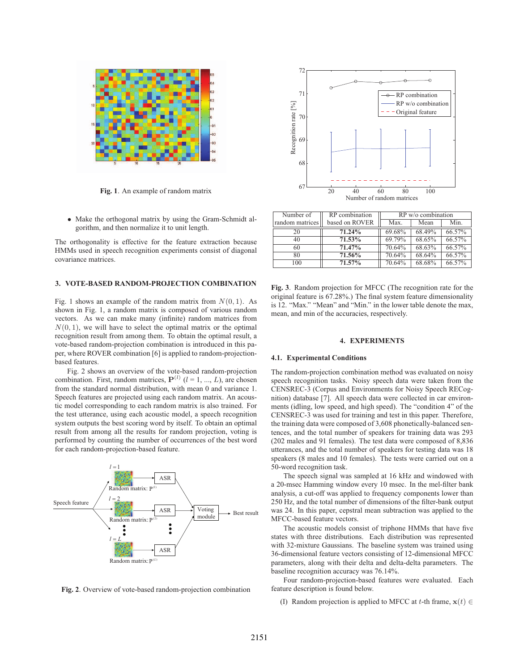

**Fig. 1**. An example of random matrix

• Make the orthogonal matrix by using the Gram-Schmidt algorithm, and then normalize it to unit length.

The orthogonality is effective for the feature extraction because HMMs used in speech recognition experiments consist of diagonal covariance matrices.

#### **3. VOTE-BASED RANDOM-PROJECTION COMBINATION**

Fig. 1 shows an example of the random matrix from  $N(0, 1)$ . As shown in Fig. 1, a random matrix is composed of various random vectors. As we can make many (infinite) random matrices from  $N(0, 1)$ , we will have to select the optimal matrix or the optimal recognition result from among them. To obtain the optimal result, a vote-based random-projection combination is introduced in this paper, where ROVER combination [6] is applied to random-projectionbased features.

Fig. 2 shows an overview of the vote-based random-projection combination. First, random matrices,  $P^{(l)}$  ( $l = 1, ..., L$ ), are chosen from the standard normal distribution, with mean 0 and variance 1. Speech features are projected using each random matrix. An acoustic model corresponding to each random matrix is also trained. For the test utterance, using each acoustic model, a speech recognition system outputs the best scoring word by itself. To obtain an optimal result from among all the results for random projection, voting is performed by counting the number of occurrences of the best word for each random-projection-based feature.



**Fig. 2**. Overview of vote-based random-projection combination



| Number of       | RP combination | $RP$ w/o combination |        |        |
|-----------------|----------------|----------------------|--------|--------|
| random matrices | based on ROVER | Max.                 | Mean   | Min.   |
| 20              | 71.24%         | 69.68%               | 68.49% | 66.57% |
| 40              | 71.53%         | 69.79%               | 68.65% | 66.57% |
| 60              | 71.47%         | 70.64%               | 68.63% | 66.57% |
| 80              | 71.56%         | 70.64%               | 68.64% | 66.57% |
| 100             | 71.57%         | 70.64%               | 68.68% | 66.57% |

**Fig. 3**. Random projection for MFCC (The recognition rate for the original feature is 67.28%.) The final system feature dimensionality is 12. "Max." "Mean" and "Min." in the lower table denote the max, mean, and min of the accuracies, respectively.

#### **4. EXPERIMENTS**

## **4.1. Experimental Conditions**

The random-projection combination method was evaluated on noisy speech recognition tasks. Noisy speech data were taken from the CENSREC-3 (Corpus and Environments for Noisy Speech RECognition) database [7]. All speech data were collected in car environments (idling, low speed, and high speed). The "condition 4" of the CENSREC-3 was used for training and test in this paper. Therefore, the training data were composed of 3,608 phonetically-balanced sentences, and the total number of speakers for training data was 293 (202 males and 91 females). The test data were composed of 8,836 utterances, and the total number of speakers for testing data was 18 speakers (8 males and 10 females). The tests were carried out on a 50-word recognition task.

The speech signal was sampled at 16 kHz and windowed with a 20-msec Hamming window every 10 msec. In the mel-filter bank analysis, a cut-off was applied to frequency components lower than 250 Hz, and the total number of dimensions of the filter-bank output was 24. In this paper, cepstral mean subtraction was applied to the MFCC-based feature vectors.

The acoustic models consist of triphone HMMs that have five states with three distributions. Each distribution was represented with 32-mixture Gaussians. The baseline system was trained using 36-dimensional feature vectors consisting of 12-dimensional MFCC parameters, along with their delta and delta-delta parameters. The baseline recognition accuracy was 76.14%.

Four random-projection-based features were evaluated. Each feature description is found below.

(I) Random projection is applied to MFCC at t-th frame,  $\mathbf{x}(t) \in$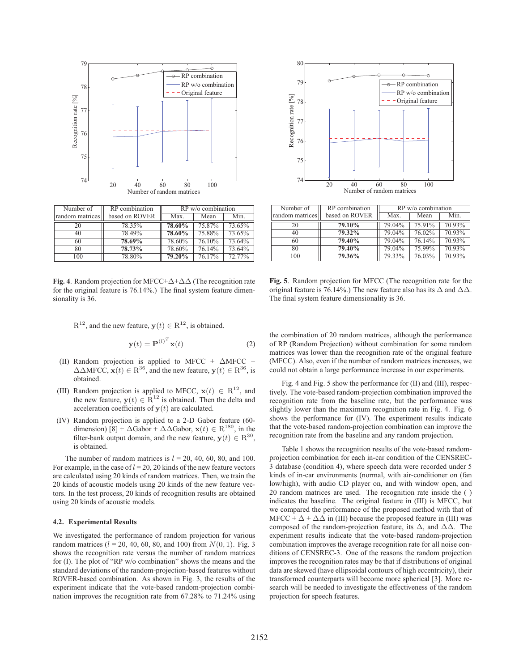

| Number of                         | RP combination | $RP$ w/o combination |        |        |
|-----------------------------------|----------------|----------------------|--------|--------|
| based on ROVER<br>random matrices |                | Max.                 | Mean   | Min.   |
| 20                                | 78.35%         | 78.60%               | 75.87% | 73.65% |
| 40                                | 78.49%         | 78.60%               | 75.88% | 73.65% |
| 60                                | 78.69%         | 78.60%               | 76.10% | 73.64% |
| 80                                | 78.73%         | 78.60%               | 76.14% | 73.64% |
| 100                               | 78.80%         | 79.20%               | 76.17% | 72.77% |

**Fig. 4**. Random projection for MFCC+ $\Delta$ + $\Delta\Delta$  (The recognition rate for the original feature is 76.14%.) The final system feature dimensionality is 36.

 $R^{12}$ , and the new feature,  $y(t) \in R^{12}$ , is obtained.

$$
\mathbf{y}(t) = \mathbf{P}^{(l)^T} \mathbf{x}(t) \tag{2}
$$

- (II) Random projection is applied to MFCC + ΔMFCC +  $\Delta\Delta$ MFCC,  $\mathbf{x}(t) \in \mathbb{R}^{36}$ , and the new feature,  $\mathbf{y}(t) \in \mathbb{R}^{36}$ , is obtained.
- (III) Random projection is applied to MFCC,  $x(t) \in R^{12}$ , and the new feature,  $y(t) \in R^{12}$  is obtained. Then the delta and acceleration coefficients of  $y(t)$  are calculated.
- (IV) Random projection is applied to a 2-D Gabor feature (60 dimension)  $[8] + \Delta$ Gabor +  $\Delta \Delta$ Gabor, **x**(t)  $\in$  R<sup>180</sup>, in the filter-bank output domain, and the new feature,  $y(t) \in R^{30}$ , is obtained.

The number of random matrices is  $l = 20, 40, 60, 80,$  and 100. For example, in the case of  $l = 20$ , 20 kinds of the new feature vectors are calculated using 20 kinds of random matrices. Then, we train the 20 kinds of acoustic models using 20 kinds of the new feature vectors. In the test process, 20 kinds of recognition results are obtained using 20 kinds of acoustic models.

## **4.2. Experimental Results**

We investigated the performance of random projection for various random matrices ( $l = 20, 40, 60, 80,$  and 100) from  $N(0, 1)$ . Fig. 3 shows the recognition rate versus the number of random matrices for (I). The plot of "RP w/o combination" shows the means and the standard deviations of the random-projection-based features without ROVER-based combination. As shown in Fig. 3, the results of the experiment indicate that the vote-based random-projection combination improves the recognition rate from 67.28% to 71.24% using



| Number of       | RP combination | $RP$ w/o combination |        |        |
|-----------------|----------------|----------------------|--------|--------|
| random matrices | based on ROVER | Max.                 | Mean   | Min.   |
| 20              | 79.10%         | 79.04%               | 75.91% | 70.93% |
| 40              | 79.32%         | 79.04%               | 76.02% | 70.93% |
| 60              | 79.40%         | 79.04%               | 76.14% | 70.93% |
| 80              | 79.40%         | 79.04%               | 75.99% | 70.93% |
| 100             | 79.36%         | 79.33%               | 76.03% | 70.93% |

**Fig. 5**. Random projection for MFCC (The recognition rate for the original feature is 76.14%.) The new feature also has its  $\Delta$  and  $\Delta\Delta$ . The final system feature dimensionality is 36.

the combination of 20 random matrices, although the performance of RP (Random Projection) without combination for some random matrices was lower than the recognition rate of the original feature (MFCC). Also, even if the number of random matrices increases, we could not obtain a large performance increase in our experiments.

Fig. 4 and Fig. 5 show the performance for (II) and (III), respectively. The vote-based random-projection combination improved the recognition rate from the baseline rate, but the performance was slightly lower than the maximum recognition rate in Fig. 4. Fig. 6 shows the performance for (IV). The experiment results indicate that the vote-based random-projection combination can improve the recognition rate from the baseline and any random projection.

Table 1 shows the recognition results of the vote-based randomprojection combination for each in-car condition of the CENSREC-3 database (condition 4), where speech data were recorded under 5 kinds of in-car environments (normal, with air-conditioner on (fan low/high), with audio CD player on, and with window open, and 20 random matrices are used. The recognition rate inside the ( ) indicates the baseline. The original feature in (III) is MFCC, but we compared the performance of the proposed method with that of MFCC +  $\Delta$  +  $\Delta\Delta$  in (III) because the proposed feature in (III) was composed of the random-projection feature, its  $\Delta$ , and  $\Delta\Delta$ . The experiment results indicate that the vote-based random-projection combination improves the average recognition rate for all noise conditions of CENSREC-3. One of the reasons the random projection improves the recognition rates may be that if distributions of original data are skewed (have ellipsoidal contours of high eccentricity), their transformed counterparts will become more spherical [3]. More research will be needed to investigate the effectiveness of the random projection for speech features.